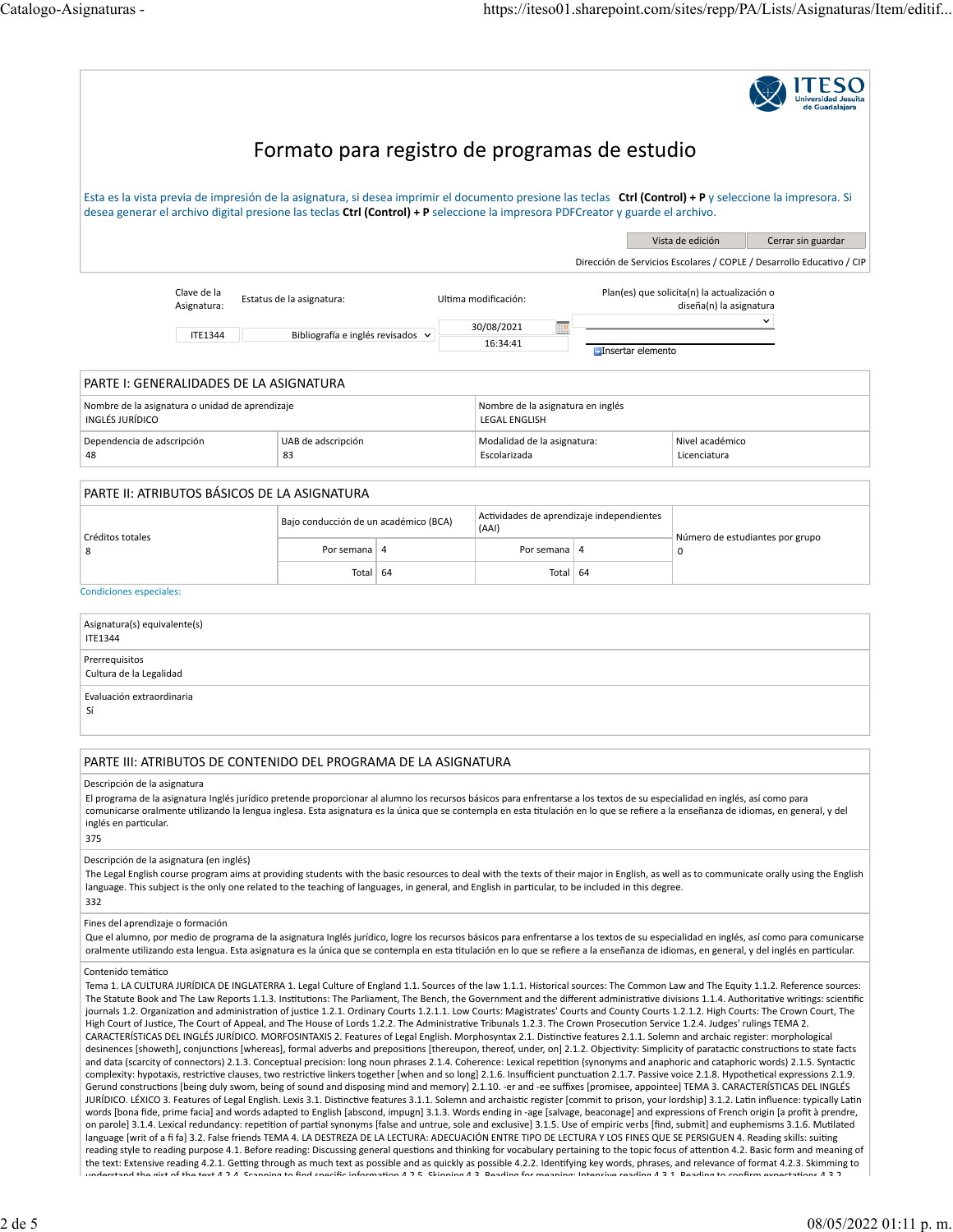| Formato para registro de programas de estudio                                                                                                                                                                                                                                                                                                                                                                                                                                                                                                                                                                                                                                                                                                                                                                                                                                                                                                                                                                                                                                                                                                                                                                                                                                                                                                                                                                                                                                                                                                                                                                                                                                                                                                                                                                                                                                                                                                                                                                                                                                                                                                                                                                                                                                                                                                                                                                                                                                                                                                                                                                                                                                     |                                       |                                                           |                                                    |                   |                                                                                                                                                                                                                                                                                                                                                                                      |  |
|-----------------------------------------------------------------------------------------------------------------------------------------------------------------------------------------------------------------------------------------------------------------------------------------------------------------------------------------------------------------------------------------------------------------------------------------------------------------------------------------------------------------------------------------------------------------------------------------------------------------------------------------------------------------------------------------------------------------------------------------------------------------------------------------------------------------------------------------------------------------------------------------------------------------------------------------------------------------------------------------------------------------------------------------------------------------------------------------------------------------------------------------------------------------------------------------------------------------------------------------------------------------------------------------------------------------------------------------------------------------------------------------------------------------------------------------------------------------------------------------------------------------------------------------------------------------------------------------------------------------------------------------------------------------------------------------------------------------------------------------------------------------------------------------------------------------------------------------------------------------------------------------------------------------------------------------------------------------------------------------------------------------------------------------------------------------------------------------------------------------------------------------------------------------------------------------------------------------------------------------------------------------------------------------------------------------------------------------------------------------------------------------------------------------------------------------------------------------------------------------------------------------------------------------------------------------------------------------------------------------------------------------------------------------------------------|---------------------------------------|-----------------------------------------------------------|----------------------------------------------------|-------------------|--------------------------------------------------------------------------------------------------------------------------------------------------------------------------------------------------------------------------------------------------------------------------------------------------------------------------------------------------------------------------------------|--|
| Esta es la vista previa de impresión de la asignatura, si desea imprimir el documento presione las teclas <b>Ctrl (Control) + P</b> y seleccione la impresora. Si<br>desea generar el archivo digital presione las teclas Ctrl (Control) + P seleccione la impresora PDFCreator y guarde el archivo.                                                                                                                                                                                                                                                                                                                                                                                                                                                                                                                                                                                                                                                                                                                                                                                                                                                                                                                                                                                                                                                                                                                                                                                                                                                                                                                                                                                                                                                                                                                                                                                                                                                                                                                                                                                                                                                                                                                                                                                                                                                                                                                                                                                                                                                                                                                                                                              |                                       |                                                           |                                                    |                   |                                                                                                                                                                                                                                                                                                                                                                                      |  |
|                                                                                                                                                                                                                                                                                                                                                                                                                                                                                                                                                                                                                                                                                                                                                                                                                                                                                                                                                                                                                                                                                                                                                                                                                                                                                                                                                                                                                                                                                                                                                                                                                                                                                                                                                                                                                                                                                                                                                                                                                                                                                                                                                                                                                                                                                                                                                                                                                                                                                                                                                                                                                                                                                   |                                       |                                                           |                                                    |                   | Vista de edición<br>Cerrar sin guardar                                                                                                                                                                                                                                                                                                                                               |  |
|                                                                                                                                                                                                                                                                                                                                                                                                                                                                                                                                                                                                                                                                                                                                                                                                                                                                                                                                                                                                                                                                                                                                                                                                                                                                                                                                                                                                                                                                                                                                                                                                                                                                                                                                                                                                                                                                                                                                                                                                                                                                                                                                                                                                                                                                                                                                                                                                                                                                                                                                                                                                                                                                                   |                                       |                                                           |                                                    |                   | Dirección de Servicios Escolares / COPLE / Desarrollo Educativo / CIP                                                                                                                                                                                                                                                                                                                |  |
| Clave de la<br>Asignatura:                                                                                                                                                                                                                                                                                                                                                                                                                                                                                                                                                                                                                                                                                                                                                                                                                                                                                                                                                                                                                                                                                                                                                                                                                                                                                                                                                                                                                                                                                                                                                                                                                                                                                                                                                                                                                                                                                                                                                                                                                                                                                                                                                                                                                                                                                                                                                                                                                                                                                                                                                                                                                                                        | Estatus de la asignatura:             |                                                           | Ultima modificación:                               |                   | Plan(es) que solicita(n) la actualización o<br>diseña(n) la asignatura                                                                                                                                                                                                                                                                                                               |  |
| <b>ITE1344</b>                                                                                                                                                                                                                                                                                                                                                                                                                                                                                                                                                                                                                                                                                                                                                                                                                                                                                                                                                                                                                                                                                                                                                                                                                                                                                                                                                                                                                                                                                                                                                                                                                                                                                                                                                                                                                                                                                                                                                                                                                                                                                                                                                                                                                                                                                                                                                                                                                                                                                                                                                                                                                                                                    | Bibliografía e inglés revisados v     |                                                           | 30/08/2021<br>▦<br>16:34:41                        | Insertar elemento | $\checkmark$                                                                                                                                                                                                                                                                                                                                                                         |  |
| PARTE I: GENERALIDADES DE LA ASIGNATURA                                                                                                                                                                                                                                                                                                                                                                                                                                                                                                                                                                                                                                                                                                                                                                                                                                                                                                                                                                                                                                                                                                                                                                                                                                                                                                                                                                                                                                                                                                                                                                                                                                                                                                                                                                                                                                                                                                                                                                                                                                                                                                                                                                                                                                                                                                                                                                                                                                                                                                                                                                                                                                           |                                       |                                                           |                                                    |                   |                                                                                                                                                                                                                                                                                                                                                                                      |  |
| Nombre de la asignatura o unidad de aprendizaje<br>INGLÉS JURÍDICO                                                                                                                                                                                                                                                                                                                                                                                                                                                                                                                                                                                                                                                                                                                                                                                                                                                                                                                                                                                                                                                                                                                                                                                                                                                                                                                                                                                                                                                                                                                                                                                                                                                                                                                                                                                                                                                                                                                                                                                                                                                                                                                                                                                                                                                                                                                                                                                                                                                                                                                                                                                                                |                                       | Nombre de la asignatura en inglés<br><b>LEGAL ENGLISH</b> |                                                    |                   |                                                                                                                                                                                                                                                                                                                                                                                      |  |
| Dependencia de adscripción<br>48                                                                                                                                                                                                                                                                                                                                                                                                                                                                                                                                                                                                                                                                                                                                                                                                                                                                                                                                                                                                                                                                                                                                                                                                                                                                                                                                                                                                                                                                                                                                                                                                                                                                                                                                                                                                                                                                                                                                                                                                                                                                                                                                                                                                                                                                                                                                                                                                                                                                                                                                                                                                                                                  | UAB de adscripción<br>83              |                                                           | Modalidad de la asignatura:<br>Escolarizada        |                   | Nivel académico<br>Licenciatura                                                                                                                                                                                                                                                                                                                                                      |  |
| PARTE II: ATRIBUTOS BÁSICOS DE LA ASIGNATURA                                                                                                                                                                                                                                                                                                                                                                                                                                                                                                                                                                                                                                                                                                                                                                                                                                                                                                                                                                                                                                                                                                                                                                                                                                                                                                                                                                                                                                                                                                                                                                                                                                                                                                                                                                                                                                                                                                                                                                                                                                                                                                                                                                                                                                                                                                                                                                                                                                                                                                                                                                                                                                      |                                       |                                                           |                                                    |                   |                                                                                                                                                                                                                                                                                                                                                                                      |  |
| Créditos totales                                                                                                                                                                                                                                                                                                                                                                                                                                                                                                                                                                                                                                                                                                                                                                                                                                                                                                                                                                                                                                                                                                                                                                                                                                                                                                                                                                                                                                                                                                                                                                                                                                                                                                                                                                                                                                                                                                                                                                                                                                                                                                                                                                                                                                                                                                                                                                                                                                                                                                                                                                                                                                                                  | Bajo conducción de un académico (BCA) |                                                           | Actividades de aprendizaje independientes<br>(AAI) |                   | Número de estudiantes por grupo                                                                                                                                                                                                                                                                                                                                                      |  |
| 8                                                                                                                                                                                                                                                                                                                                                                                                                                                                                                                                                                                                                                                                                                                                                                                                                                                                                                                                                                                                                                                                                                                                                                                                                                                                                                                                                                                                                                                                                                                                                                                                                                                                                                                                                                                                                                                                                                                                                                                                                                                                                                                                                                                                                                                                                                                                                                                                                                                                                                                                                                                                                                                                                 | Por semana                            | $\overline{4}$                                            | Por semana                                         | $\overline{4}$    | 0                                                                                                                                                                                                                                                                                                                                                                                    |  |
| Condiciones especiales:                                                                                                                                                                                                                                                                                                                                                                                                                                                                                                                                                                                                                                                                                                                                                                                                                                                                                                                                                                                                                                                                                                                                                                                                                                                                                                                                                                                                                                                                                                                                                                                                                                                                                                                                                                                                                                                                                                                                                                                                                                                                                                                                                                                                                                                                                                                                                                                                                                                                                                                                                                                                                                                           | Total                                 | 64                                                        | Total 64                                           |                   |                                                                                                                                                                                                                                                                                                                                                                                      |  |
|                                                                                                                                                                                                                                                                                                                                                                                                                                                                                                                                                                                                                                                                                                                                                                                                                                                                                                                                                                                                                                                                                                                                                                                                                                                                                                                                                                                                                                                                                                                                                                                                                                                                                                                                                                                                                                                                                                                                                                                                                                                                                                                                                                                                                                                                                                                                                                                                                                                                                                                                                                                                                                                                                   |                                       |                                                           |                                                    |                   |                                                                                                                                                                                                                                                                                                                                                                                      |  |
| Asignatura(s) equivalente(s)<br><b>ITE1344</b>                                                                                                                                                                                                                                                                                                                                                                                                                                                                                                                                                                                                                                                                                                                                                                                                                                                                                                                                                                                                                                                                                                                                                                                                                                                                                                                                                                                                                                                                                                                                                                                                                                                                                                                                                                                                                                                                                                                                                                                                                                                                                                                                                                                                                                                                                                                                                                                                                                                                                                                                                                                                                                    |                                       |                                                           |                                                    |                   |                                                                                                                                                                                                                                                                                                                                                                                      |  |
| Prerrequisitos<br>Cultura de la Legalidad                                                                                                                                                                                                                                                                                                                                                                                                                                                                                                                                                                                                                                                                                                                                                                                                                                                                                                                                                                                                                                                                                                                                                                                                                                                                                                                                                                                                                                                                                                                                                                                                                                                                                                                                                                                                                                                                                                                                                                                                                                                                                                                                                                                                                                                                                                                                                                                                                                                                                                                                                                                                                                         |                                       |                                                           |                                                    |                   |                                                                                                                                                                                                                                                                                                                                                                                      |  |
| Evaluación extraordinaria<br>Sí                                                                                                                                                                                                                                                                                                                                                                                                                                                                                                                                                                                                                                                                                                                                                                                                                                                                                                                                                                                                                                                                                                                                                                                                                                                                                                                                                                                                                                                                                                                                                                                                                                                                                                                                                                                                                                                                                                                                                                                                                                                                                                                                                                                                                                                                                                                                                                                                                                                                                                                                                                                                                                                   |                                       |                                                           |                                                    |                   |                                                                                                                                                                                                                                                                                                                                                                                      |  |
| PARTE III: ATRIBUTOS DE CONTENIDO DEL PROGRAMA DE LA ASIGNATURA                                                                                                                                                                                                                                                                                                                                                                                                                                                                                                                                                                                                                                                                                                                                                                                                                                                                                                                                                                                                                                                                                                                                                                                                                                                                                                                                                                                                                                                                                                                                                                                                                                                                                                                                                                                                                                                                                                                                                                                                                                                                                                                                                                                                                                                                                                                                                                                                                                                                                                                                                                                                                   |                                       |                                                           |                                                    |                   |                                                                                                                                                                                                                                                                                                                                                                                      |  |
| Descripción de la asignatura<br>El programa de la asignatura Inglés jurídico pretende proporcionar al alumno los recursos básicos para enfrentarse a los textos de su especialidad en inglés, así como para<br>comunicarse oralmente utilizando la lengua inglesa. Esta asignatura es la única que se contempla en esta titulación en lo que se refiere a la enseñanza de idiomas, en general, y del<br>inglés en particular.<br>375                                                                                                                                                                                                                                                                                                                                                                                                                                                                                                                                                                                                                                                                                                                                                                                                                                                                                                                                                                                                                                                                                                                                                                                                                                                                                                                                                                                                                                                                                                                                                                                                                                                                                                                                                                                                                                                                                                                                                                                                                                                                                                                                                                                                                                              |                                       |                                                           |                                                    |                   |                                                                                                                                                                                                                                                                                                                                                                                      |  |
| Descripción de la asignatura (en inglés)<br>The Legal English course program aims at providing students with the basic resources to deal with the texts of their major in English, as well as to communicate orally using the English<br>language. This subject is the only one related to the teaching of languages, in general, and English in particular, to be included in this degree.<br>332                                                                                                                                                                                                                                                                                                                                                                                                                                                                                                                                                                                                                                                                                                                                                                                                                                                                                                                                                                                                                                                                                                                                                                                                                                                                                                                                                                                                                                                                                                                                                                                                                                                                                                                                                                                                                                                                                                                                                                                                                                                                                                                                                                                                                                                                                |                                       |                                                           |                                                    |                   |                                                                                                                                                                                                                                                                                                                                                                                      |  |
| Fines del aprendizaje o formación<br>oralmente utilizando esta lengua. Esta asignatura es la única que se contempla en esta titulación en lo que se refiere a la enseñanza de idiomas, en general, y del inglés en particular.                                                                                                                                                                                                                                                                                                                                                                                                                                                                                                                                                                                                                                                                                                                                                                                                                                                                                                                                                                                                                                                                                                                                                                                                                                                                                                                                                                                                                                                                                                                                                                                                                                                                                                                                                                                                                                                                                                                                                                                                                                                                                                                                                                                                                                                                                                                                                                                                                                                    |                                       |                                                           |                                                    |                   | Que el alumno, por medio de programa de la asignatura Inglés jurídico, logre los recursos básicos para enfrentarse a los textos de su especialidad en inglés, así como para comunicarse                                                                                                                                                                                              |  |
| Contenido temático<br>Tema 1. LA CULTURA JURÍDICA DE INGLATERRA 1. Legal Culture of England 1.1. Sources of the law 1.1.1. Historical sources: The Common Law and The Equity 1.1.2. Reference sources:<br>journals 1.2. Organization and administration of justice 1.2.1. Ordinary Courts 1.2.1.1. Low Courts: Magistrates' Courts and County Courts 1.2.1.2. High Courts: The Crown Court, The<br>High Court of Justice, The Court of Appeal, and The House of Lords 1.2.2. The Administrative Tribunals 1.2.3. The Crown Prosecution Service 1.2.4. Judges' rulings TEMA 2.<br>CARACTERÍSTICAS DEL INGLÉS JURÍDICO. MORFOSINTAXIS 2. Features of Legal English. Morphosyntax 2.1. Distinctive features 2.1.1. Solemn and archaic register: morphological<br>desinences [showeth], conjunctions [whereas], formal adverbs and prepositions [thereupon, thereof, under, on] 2.1.2. Objectivity: Simplicity of paratactic constructions to state facts<br>and data (scarcity of connectors) 2.1.3. Conceptual precision: long noun phrases 2.1.4. Coherence: Lexical repetition (synonyms and anaphoric and cataphoric words) 2.1.5. Syntactic<br>complexity: hypotaxis, restrictive clauses, two restrictive linkers together [when and so long] 2.1.6. Insufficient punctuation 2.1.7. Passive voice 2.1.8. Hypothetical expressions 2.1.9.<br>Gerund constructions [being duly swom, being of sound and disposing mind and memory] 2.1.10. -er and -ee suffixes [promisee, appointee] TEMA 3. CARACTERÍSTICAS DEL INGLÉS<br>JURÍDICO. LÉXICO 3. Features of Legal English. Lexis 3.1. Distinctive features 3.1.1. Solemn and archaistic register [commit to prison, your lordship] 3.1.2. Latin influence: typically Latin<br>words [bona fide, prime facia] and words adapted to English [abscond, impugn] 3.1.3. Words ending in -age [salvage, beaconage] and expressions of French origin [a profit à prendre,<br>on parole] 3.1.4. Lexical redundancy: repetition of partial synonyms [false and untrue, sole and exclusive] 3.1.5. Use of empiric verbs [find, submit] and euphemisms 3.1.6. Mutilated<br>language [writ of a fi fa] 3.2. False friends TEMA 4. LA DESTREZA DE LA LECTURA: ADECUACIÓN ENTRE TIPO DE LECTURA Y LOS FINES QUE SE PERSIGUEN 4. Reading skills: suiting<br>the text: Extensive reading 4.2.1. Getting through as much text as possible and as quickly as possible 4.2.2. Identifying key words, phrases, and relevance of format 4.2.3. Skimming to<br>undarstand the sist of the text A 2 A. Coanning to find specific information A 2 E. Ckinning A 2. Deading for meaning: Intensive reading A 2.1. Deading to confirm evpectations A 2.2. |                                       |                                                           |                                                    |                   | The Statute Book and The Law Reports 1.1.3. Institutions: The Parliament, The Bench, the Government and the different administrative divisions 1.1.4. Authoritative writings: scientific<br>reading style to reading purpose 4.1. Before reading: Discussing general questions and thinking for vocabulary pertaining to the topic focus of attention 4.2. Basic form and meaning of |  |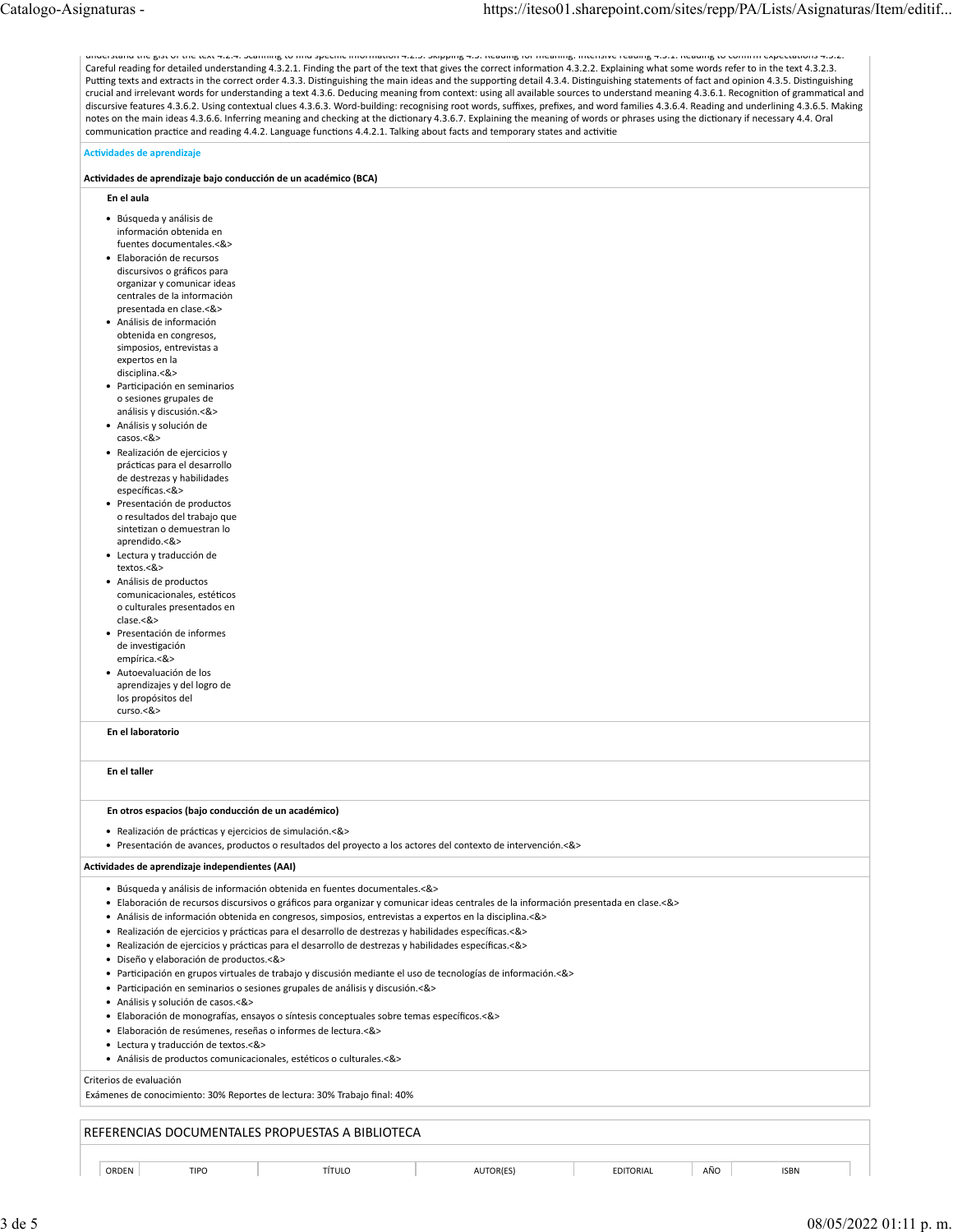understand the gist of the text 4.2.4. Scanning to find specific informa�on 4.2.5. Skipping 4.3. Reading for meaning: Intensive reading 4.3.1. Reading to confirm expecta�ons 4.3.2. Careful reading for detailed understanding 4.3.2.1. Finding the part of the text that gives the correct information 4.3.2.2. Explaining what some words refer to in the text 4.3.2.3. Putting texts and extracts in the correct order 4.3.3. Distinguishing the main ideas and the supporting detail 4.3.4. Distinguishing statements of fact and opinion 4.3.5. Distinguishing crucial and irrelevant words for understanding a text 4.3.6. Deducing meaning from context: using all available sources to understand meaning 4.3.6.1. Recogni�on of gramma�cal and discursive features 4.3.6.2. Using contextual clues 4.3.6.3. Word-building: recognising root words, suffixes, prefixes, and word families 4.3.6.4. Reading and underlining 4.3.6.5. Making notes on the main ideas 4.3.6.6. Inferring meaning and checking at the dictionary 4.3.6.7. Explaining the meaning of words or phrases using the dictionary if necessary 4.4. Oral communication practice and reading 4.4.2. Language functions 4.4.2.1. Talking about facts and temporary states and activitie

### **Ac�vidades de aprendizaje**

#### **Ac�vidades de aprendizaje bajo conducción de un académico (BCA)**

- **En el aula**
- Búsqueda y análisis de información obtenida en fuentes documentales.<&>
- Elaboración de recursos discursivos o gráficos para organizar y comunicar ideas centrales de la información presentada en clase.<&>
- Análisis de información obtenida en congresos, simposios, entrevistas a expertos en la disciplina.<&>
- Par�cipación en seminarios o sesiones grupales de análisis y discusión.<&>
- Análisis y solución de casos.<&>
- Realización de ejercicios y prác�cas para el desarrollo de destrezas y habilidades específicas.<&>
- Presentación de productos o resultados del trabajo que sintetizan o demuestran lo aprendido.<&>
- Lectura y traducción de textos.<&>
- Análisis de productos comunicacionales, estéticos o culturales presentados en clase.<&>
- Presentación de informes de investigación empírica.<&>
- Autoevaluación de los aprendizajes y del logro de los propósitos del curso.<&>

**En el laboratorio**

### **En el taller**

#### **En otros espacios (bajo conducción de un académico)**

• Realización de prác�cas y ejercicios de simulación.<&>

• Presentación de avances, productos o resultados del proyecto a los actores del contexto de intervención.<&>

#### **Ac�vidades de aprendizaje independientes (AAI)**

- Búsqueda y análisis de información obtenida en fuentes documentales.<&>
- Elaboración de recursos discursivos o gráficos para organizar y comunicar ideas centrales de la información presentada en clase.<&>
- Análisis de información obtenida en congresos, simposios, entrevistas a expertos en la disciplina.<&>
- Realización de ejercicios y prác�cas para el desarrollo de destrezas y habilidades específicas.<&>
- Realización de ejercicios y prácticas para el desarrollo de destrezas y habilidades específicas.<&>
- Diseño y elaboración de productos.<&>
- Par�cipación en grupos virtuales de trabajo y discusión mediante el uso de tecnologías de información.<&>
- Par�cipación en seminarios o sesiones grupales de análisis y discusión.<&>
- Análisis y solución de casos.<&>
- Elaboración de monografías, ensayos o síntesis conceptuales sobre temas específicos.<&>
- Elaboración de resúmenes, reseñas o informes de lectura.<&>
- Lectura y traducción de textos.<&>
- Análisis de productos comunicacionales, estéticos o culturales.<&>

### Criterios de evaluación

Exámenes de conocimiento: 30% Reportes de lectura: 30% Trabajo final: 40%

## REFERENCIAS DOCUMENTALES PROPUESTAS A BIBLIOTECA

ORDEN TIPO | TÍTULO | AUTOR(ES) | EDITORIAL |AÑO | ISBN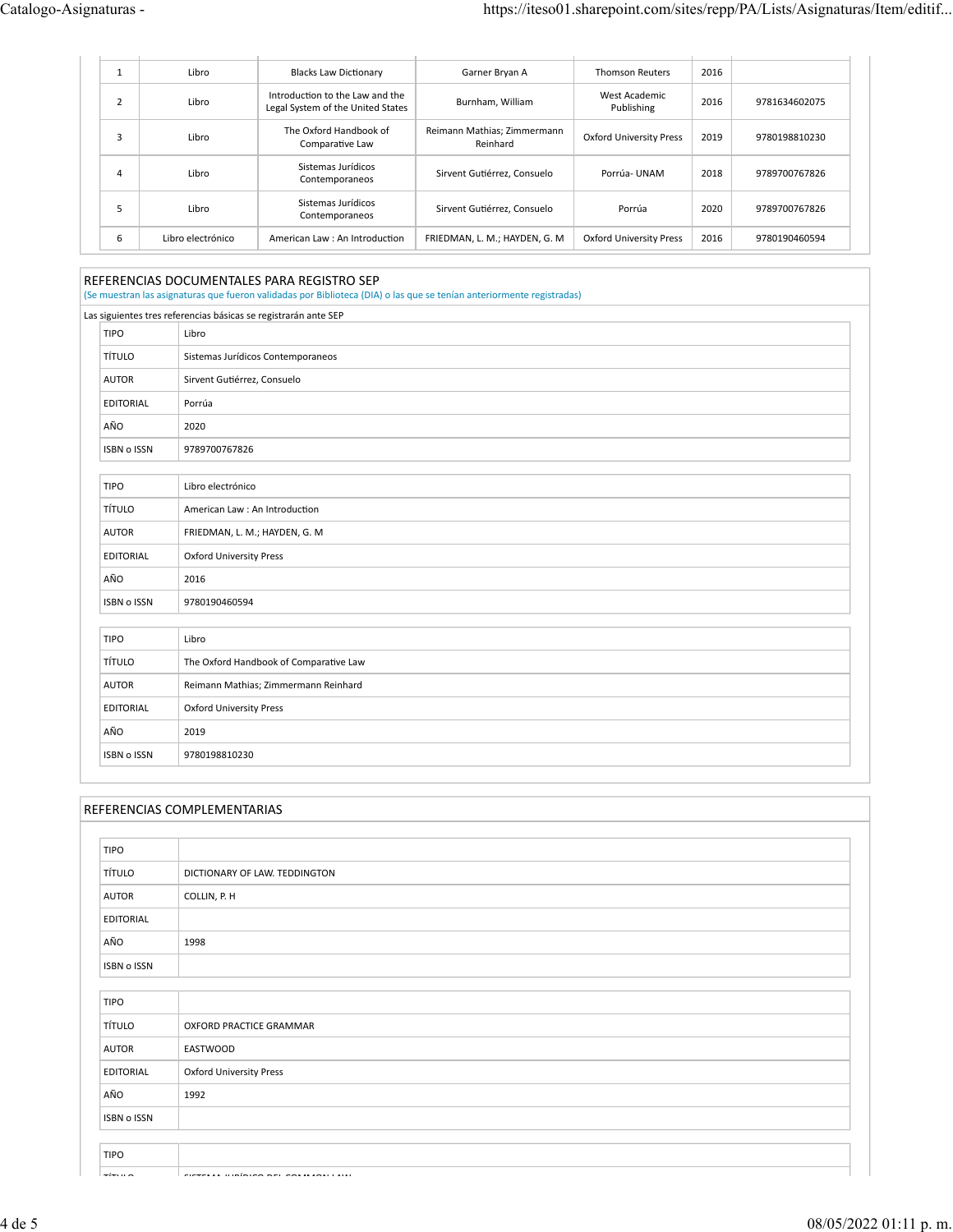|   | Libro             | <b>Blacks Law Dictionary</b>                                         | Garner Bryan A                          | <b>Thomson Reuters</b>         | 2016 |               |
|---|-------------------|----------------------------------------------------------------------|-----------------------------------------|--------------------------------|------|---------------|
|   | Libro             | Introduction to the Law and the<br>Legal System of the United States | Burnham, William                        | West Academic<br>Publishing    | 2016 | 9781634602075 |
|   | Libro             | The Oxford Handbook of<br>Comparative Law                            | Reimann Mathias; Zimmermann<br>Reinhard | <b>Oxford University Press</b> | 2019 | 9780198810230 |
| 4 | Libro             | Sistemas Jurídicos<br>Contemporaneos                                 | Sirvent Gutiérrez, Consuelo             | Porrúa-UNAM                    | 2018 | 9789700767826 |
|   | Libro             | Sistemas Jurídicos<br>Contemporaneos                                 | Sirvent Gutiérrez, Consuelo             | Porrúa                         | 2020 | 9789700767826 |
| 6 | Libro electrónico | American Law: An Introduction                                        | FRIEDMAN. L. M.: HAYDEN. G. M.          | Oxford University Press        | 2016 | 9780190460594 |

## REFERENCIAS DOCUMENTALES PARA REGISTRO SEP

(Se muestran las asignaturas que fueron validadas por Biblioteca (DIA) o las que se tenían anteriormente registradas)

|                    | Las siguientes tres referencias básicas se registrarán ante SEP |
|--------------------|-----------------------------------------------------------------|
| <b>TIPO</b>        | Libro                                                           |
| <b>TÍTULO</b>      | Sistemas Jurídicos Contemporaneos                               |
| <b>AUTOR</b>       | Sirvent Gutiérrez, Consuelo                                     |
| EDITORIAL          | Porrúa                                                          |
| AÑO                | 2020                                                            |
| <b>ISBN o ISSN</b> | 9789700767826                                                   |
|                    |                                                                 |
| <b>TIPO</b>        | Libro electrónico                                               |
| <b>TÍTULO</b>      | American Law : An Introduction                                  |
| <b>AUTOR</b>       | FRIEDMAN, L. M.; HAYDEN, G. M                                   |
| <b>EDITORIAL</b>   | <b>Oxford University Press</b>                                  |
| AÑO                | 2016                                                            |
| <b>ISBN o ISSN</b> | 9780190460594                                                   |
|                    |                                                                 |
| <b>TIPO</b>        | Libro                                                           |
| <b>TÍTULO</b>      | The Oxford Handbook of Comparative Law                          |
| <b>AUTOR</b>       | Reimann Mathias; Zimmermann Reinhard                            |
| <b>EDITORIAL</b>   | <b>Oxford University Press</b>                                  |
| AÑO                | 2019                                                            |
| <b>ISBN o ISSN</b> | 9780198810230                                                   |

# REFERENCIAS COMPLEMENTARIAS

| <b>TIPO</b>        |                                |
|--------------------|--------------------------------|
| <b>TÍTULO</b>      | DICTIONARY OF LAW. TEDDINGTON  |
| <b>AUTOR</b>       | COLLIN, P. H                   |
| EDITORIAL          |                                |
| AÑO                | 1998                           |
| <b>ISBN o ISSN</b> |                                |
|                    |                                |
| <b>TIPO</b>        |                                |
| <b>TÍTULO</b>      | OXFORD PRACTICE GRAMMAR        |
| <b>AUTOR</b>       | EASTWOOD                       |
| EDITORIAL          | <b>Oxford University Press</b> |
| AÑO                | 1992                           |
| ISBN o ISSN        |                                |
|                    |                                |
| <b>TIPO</b>        |                                |
| $ -$               |                                |